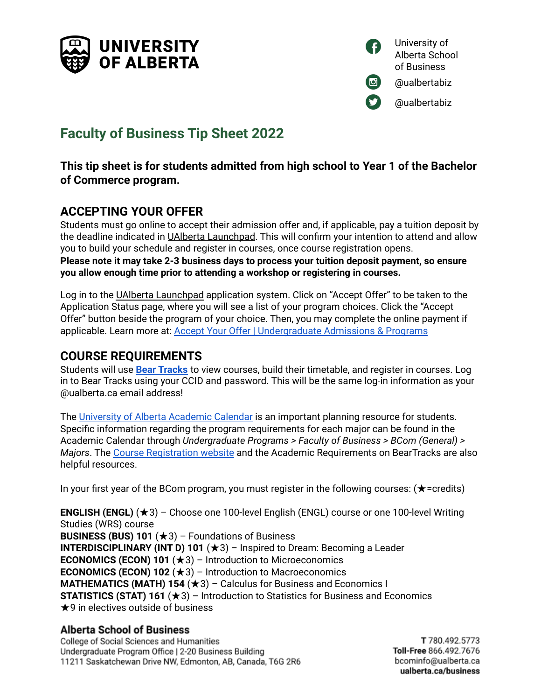



# **Faculty of Business Tip Sheet 2022**

## **This tip sheet is for students admitted from high school to Year 1 of the Bachelor of Commerce program.**

# **ACCEPTING YOUR OFFER**

Students must go online to accept their admission offer and, if applicable, pay a tuition deposit by the deadline indicated in UAlberta Launchpad. This will confirm your intention to attend and allow you to build your schedule and register in courses, once course registration opens. **Please note it may take 2-3 business days to process your tuition deposit payment, so ensure you allow enough time prior to attending a workshop or registering in courses.**

Log in to the UAlberta Launchpad application system. Click on "Accept Offer" to be taken to the Application Status page, where you will see a list of your program choices. Click the "Accept Offer" button beside the program of your choice. Then, you may complete the online payment if applicable. Learn more at: Accept Your Offer | [Undergraduate](https://www.ualberta.ca/admissions/undergraduate/admission/after-you-apply/how-to-accept-your-offer) Admissions & Programs

# **COURSE REQUIREMENTS**

Students will use **Bear [Tracks](https://www.beartracks.ualberta.ca/)** to view courses, build their timetable, and register in courses. Log in to Bear Tracks using your CCID and password. This will be the same log-in information as your @ualberta.ca email address!

The University of Alberta [Academic](https://calendar.ualberta.ca/) Calendar is an important planning resource for students. Specific information regarding the program requirements for each major can be found in the Academic Calendar through *Undergraduate Programs > Faculty of Business > BCom (General) > Majors*. The Course [Registration](https://www.ualberta.ca/registrar/registration-and-courses/course-registration.html) website and the Academic Requirements on BearTracks are also helpful resources.

In your first year of the BCom program, you must register in the following courses: (★=credits)

**ENGLISH (ENGL)** (★3) – Choose one 100-level English (ENGL) course or one 100-level Writing Studies (WRS) course **BUSINESS (BUS) 101** (★3) – Foundations of Business **INTERDISCIPLINARY (INT D) 101** (★3) – Inspired to Dream: Becoming a Leader **ECONOMICS (ECON) 101** (★3) – Introduction to Microeconomics **ECONOMICS (ECON) 102** (★3) – Introduction to Macroeconomics **MATHEMATICS (MATH) 154** (★3) – Calculus for Business and Economics I **STATISTICS (STAT) 161** (★3) – Introduction to Statistics for Business and Economics  $\bigstar$ 9 in electives outside of business

#### **Alberta School of Business**

College of Social Sciences and Humanities Undergraduate Program Office | 2-20 Business Building 11211 Saskatchewan Drive NW, Edmonton, AB, Canada, T6G 2R6

T 780.492.5773 Toll-Free 866.492.7676 bcominfo@ualberta.ca ualberta.ca/business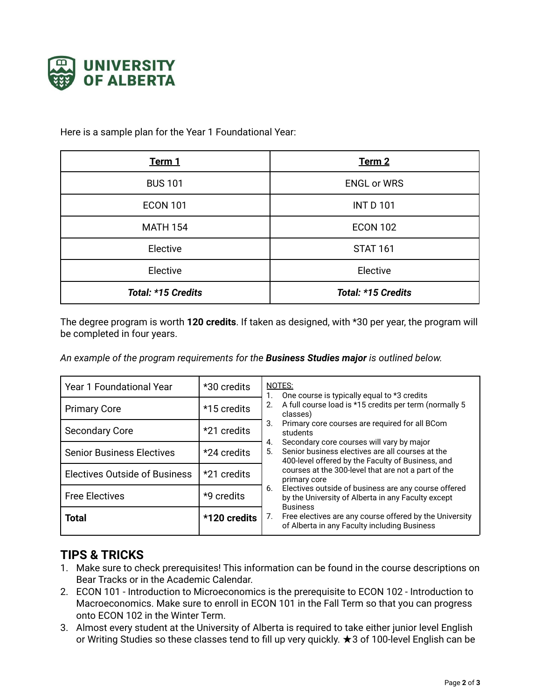

Here is a sample plan for the Year 1 Foundational Year:

| Term 1             | Term 2             |
|--------------------|--------------------|
| <b>BUS 101</b>     | <b>ENGL or WRS</b> |
| <b>ECON 101</b>    | <b>INT D 101</b>   |
| <b>MATH 154</b>    | <b>ECON 102</b>    |
| Elective           | <b>STAT 161</b>    |
| Elective           | Elective           |
| Total: *15 Credits | Total: *15 Credits |

The degree program is worth **120 credits**. If taken as designed, with \*30 per year, the program will be completed in four years.

*An example of the program requirements for the Business Studies major is outlined below.*

| <b>Year 1 Foundational Year</b>      | *30 credits  | NOTES:<br>One course is typically equal to *3 credits<br>A full course load is *15 credits per term (normally 5<br>2.<br>classes)<br>Primary core courses are required for all BCom<br>3.<br>students<br>Secondary core courses will vary by major<br>4.<br>Senior business electives are all courses at the<br>5.<br>400-level offered by the Faculty of Business, and<br>courses at the 300-level that are not a part of the<br>primary core<br>Electives outside of business are any course offered<br>6.<br>by the University of Alberta in any Faculty except<br><b>Business</b><br>Free electives are any course offered by the University<br>7.<br>of Alberta in any Faculty including Business |
|--------------------------------------|--------------|--------------------------------------------------------------------------------------------------------------------------------------------------------------------------------------------------------------------------------------------------------------------------------------------------------------------------------------------------------------------------------------------------------------------------------------------------------------------------------------------------------------------------------------------------------------------------------------------------------------------------------------------------------------------------------------------------------|
| <b>Primary Core</b>                  | *15 credits  |                                                                                                                                                                                                                                                                                                                                                                                                                                                                                                                                                                                                                                                                                                        |
| <b>Secondary Core</b>                | *21 credits  |                                                                                                                                                                                                                                                                                                                                                                                                                                                                                                                                                                                                                                                                                                        |
| <b>Senior Business Electives</b>     | *24 credits  |                                                                                                                                                                                                                                                                                                                                                                                                                                                                                                                                                                                                                                                                                                        |
| <b>Electives Outside of Business</b> | *21 credits  |                                                                                                                                                                                                                                                                                                                                                                                                                                                                                                                                                                                                                                                                                                        |
| <b>Free Electives</b>                | *9 credits   |                                                                                                                                                                                                                                                                                                                                                                                                                                                                                                                                                                                                                                                                                                        |
| <b>Total</b>                         | *120 credits |                                                                                                                                                                                                                                                                                                                                                                                                                                                                                                                                                                                                                                                                                                        |

## **TIPS & TRICKS**

- 1. Make sure to check prerequisites! This information can be found in the course descriptions on Bear Tracks or in the Academic Calendar.
- 2. ECON 101 Introduction to Microeconomics is the prerequisite to ECON 102 Introduction to Macroeconomics. Make sure to enroll in ECON 101 in the Fall Term so that you can progress onto ECON 102 in the Winter Term.
- 3. Almost every student at the University of Alberta is required to take either junior level English or Writing Studies so these classes tend to fill up very quickly. ★3 of 100-level English can be